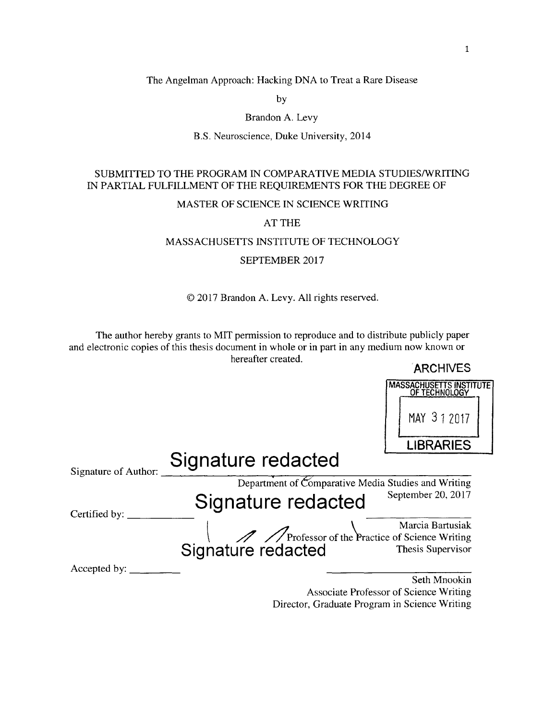The Angelman Approach: Hacking **DNA** to Treat a Rare Disease

**by**

# Brandon **A.** Levy

### B.S. Neuroscience, Duke University, 2014

# **SUBMITTED** TO THE PROGRAM **IN** COMPARATIVE **MEDIA STUDIES/WRITING IN** PARTIAL **FULFILLMENT** OF THE **REQUIREMENTS** FOR THE DEGREE OF

### MASTER OF **SCIENCE IN SCIENCE** WRITING

**AT** THE

### **MASSACHUSETTS INSTITUTE** OF **TECHNOLOGY**

SEPTEMBER **2017**

# **2017** Brandon **A.** Levy. **All** rights reserved.

The author hereby grants to MIT permission to reproduce and to distribute publicly paper and electronic copies of this thesis document in whole or in part in any medium now known or hereafter created.  $Anorm/FC$ 

|                      |                                                          | <b>ARUTIVES</b>                                 |
|----------------------|----------------------------------------------------------|-------------------------------------------------|
|                      |                                                          | <b>MASSACHUSETTS INSTITUTE</b><br>OF TECHNOLOGY |
|                      |                                                          | MAY 312017                                      |
|                      |                                                          | <b>LIBRARIES</b>                                |
| Signature of Author: | Signature redacted                                       |                                                 |
|                      | Department of Comparative Media Studies and Writing      |                                                 |
| Certified by:        | Signature redacted                                       | September 20, 2017                              |
|                      |                                                          | Marcia Bartusiak                                |
|                      | Marcia Bartusiak<br>Signature redacted Thesis Supervisor |                                                 |
| Accepted by: $\_\_$  |                                                          |                                                 |
|                      |                                                          | Seth Mnookin                                    |
|                      |                                                          | Associate Professor of Science Writing          |

Director, Graduate Program in Science Writing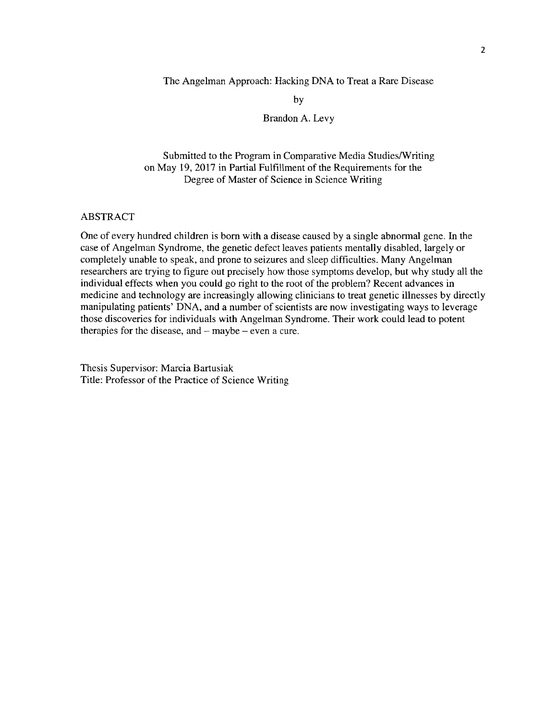The Angelman Approach: Hacking **DNA** to Treat a Rare Disease

**by**

Brandon **A.** Levy

Submitted to the Program in Comparative Media Studies/Writing on May **19, 2017** in Partial Fulfillment of the Requirements for the Degree of Master of Science in Science Writing

### ABSTRACT

One of every hundred children is born with a disease caused **by** a single abnormal gene. In the case of Angelman Syndrome, the genetic defect leaves patients mentally disabled, largely or completely unable to speak, and prone to seizures and sleep difficulties. Many Angelman researchers are trying to figure out precisely how those symptoms develop, but why study all the individual effects when you could go right to the root of the problem? Recent advances in medicine and technology are increasingly allowing clinicians to treat genetic illnesses **by** directly manipulating patients' **DNA,** and a number of scientists are now investigating ways to leverage those discoveries for individuals with Angelman Syndrome. Their work could lead to potent therapies for the disease, and **-** maybe **-** even a cure.

Thesis Supervisor: Marcia Bartusiak Title: Professor of the Practice of Science Writing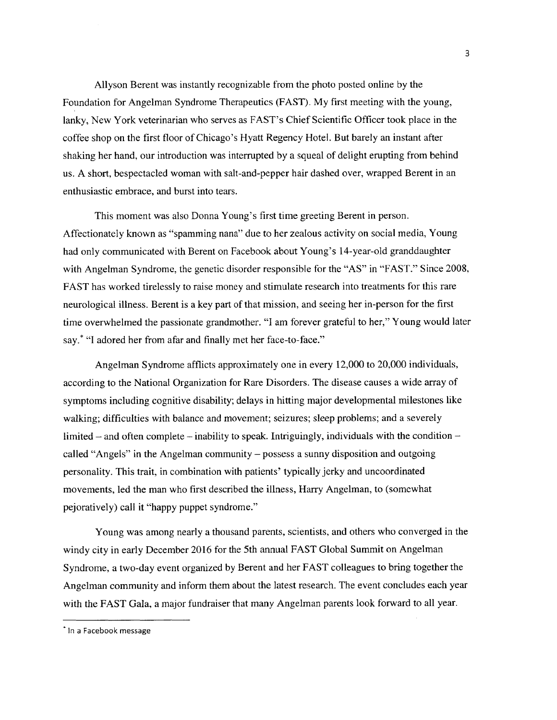Allyson Berent was instantly recognizable from the photo posted online **by** the Foundation for Angelman Syndrome Therapeutics **(FAST). My** first meeting with the young, lanky, New York veterinarian who serves as FAST's Chief Scientific Officer took place in the coffee shop on the first floor of Chicago's Hyatt Regency Hotel. But barely an instant after shaking her hand, our introduction was interrupted **by** a squeal of delight erupting from behind us. **A** short, bespectacled woman with salt-and-pepper hair dashed over, wrapped Berent in an enthusiastic embrace, and burst into tears.

This moment was also Donna Young's first time greeting Berent in person. Affectionately known as "spamming nana" due to her zealous activity on social media, Young had only communicated with Berent on Facebook about Young's 14-year-old granddaughter with Angelman Syndrome, the genetic disorder responsible for the **"AS"** in **"FAST."** Since **2008, FAST** has worked tirelessly to raise money and stimulate research into treatments for this rare neurological illness. Berent is a key part of that mission, and seeing her in-person for the first time overwhelmed the passionate grandmother. **"I** am forever grateful to her," Young would later say.\* **"I** adored her from afar and finally met her face-to-face."

Angelman Syndrome afflicts approximately one in every 12,000 to 20,000 individuals, according to the National Organization for Rare Disorders. The disease causes a wide array of symptoms including cognitive disability; delays in hitting major developmental milestones like walking; difficulties with balance and movement; seizures; sleep problems; and a severely limited – and often complete – inability to speak. Intriguingly, individuals with the condition – called "Angels" in the Angelman community **-** possess a sunny disposition and outgoing personality. This trait, in combination with patients' typically jerky and uncoordinated movements, led the man who first described the illness, Harry Angelman, to (somewhat pejoratively) call it "happy puppet syndrome."

Young was among nearly a thousand parents, scientists, and others who converged in the windy city in early December **2016** for the 5th annual **FAST** Global Summit on Angelman Syndrome, a two-day event organized **by** Berent and her **FAST** colleagues to bring together the Angelman community and inform them about the latest research. The event concludes each year with the **FAST** Gala, a major fundraiser that many Angelman parents look forward to all year.

**<sup>\*</sup>** In a Facebook message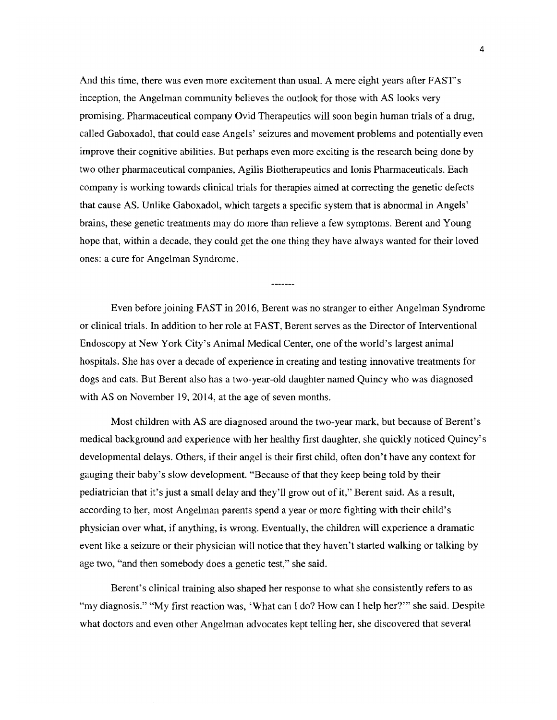And this time, there was even more excitement than usual. **A** mere eight years after FAST's inception, the Angelman community believes the outlook for those with **AS** looks very promising. Pharmaceutical company Ovid Therapeutics will soon begin human trials of a drug, called Gaboxadol, that could ease Angels' seizures and movement problems and potentially even improve their cognitive abilities. But perhaps even more exciting is the research being done **by** two other pharmaceutical companies, Agilis Biotherapeutics and lonis Pharmaceuticals. Each company is working towards clinical trials for therapies aimed at correcting the genetic defects that cause **AS.** Unlike Gaboxadol, which targets a specific system that is abnormal in Angels' brains, these genetic treatments may do more than relieve a few symptoms. Berent and Young hope that, within a decade, they could get the one thing they have always wanted for their loved ones: a cure for Angelman Syndrome.

Even before joining **FAST** in **2016,** Berent was no stranger to either Angelman Syndrome or clinical trials. In addition to her role at **FAST,** Berent serves as the Director of Interventional Endoscopy at New York City's Animal Medical Center, one of the world's largest animal hospitals. She has over a decade of experience in creating and testing innovative treatments for dogs and cats. But Berent also has a two-year-old daughter named Quincy who was diagnosed with **AS** on November **19,** 2014, at the age of seven months.

Most children with **AS** are diagnosed around the two-year mark, but because of Berent's medical background and experience with her healthy first daughter, she quickly noticed Quincy's developmental delays. Others, if their angel is their first child, often don't have any context for gauging their baby's slow development. "Because of that they keep being told **by** their pediatrician that it's just a small delay and they'll grow out of it," Berent said. As a result, according to her, most Angelman parents spend a year or more fighting with their child's physician over what, if anything, is wrong. Eventually, the children will experience a dramatic event like a seizure or their physician will notice that they haven't started walking or talking **by** age two, "and then somebody does a genetic test," she said.

Berent's clinical training also shaped her response to what she consistently refers to as "my diagnosis." **"My** first reaction was, 'What can **I** do? How can **I** help her?"' she said. Despite what doctors and even other Angelman advocates kept telling her, she discovered that several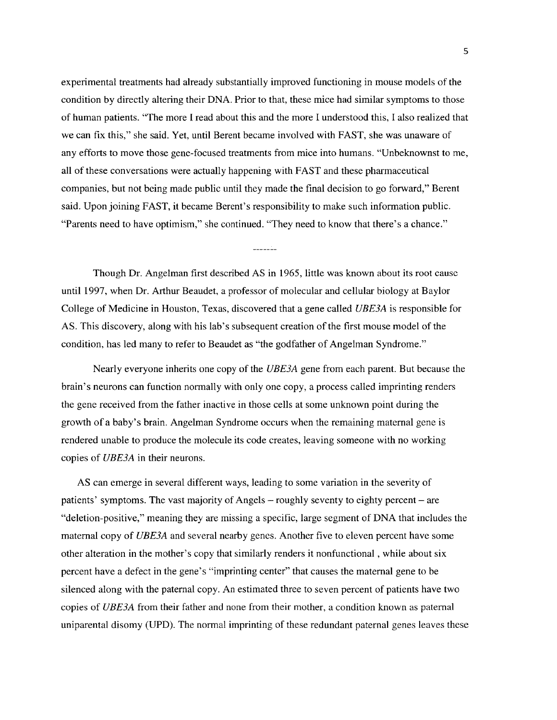experimental treatments had already substantially improved functioning in mouse models of the condition **by** directly altering their **DNA.** Prior to that, these mice had similar symptoms to those of human patients. "The more **I** read about this and the more **I** understood this, **I** also realized that we can fix this," she said. Yet, until Berent became involved with **FAST,** she was unaware of any efforts to move those gene-focused treatments from mice into humans. "Unbeknownst to me, all of these conversations were actually happening with **FAST** and these pharmaceutical companies, but not being made public until they made the final decision to go forward," Berent said. Upon joining **FAST,** it became Berent's responsibility to make such information public. "Parents need to have optimism," she continued. "They need to know that there's a chance."

<u> 222222</u>

Though Dr. Angelman first described **AS** in **1965,** little was known about its root cause until **1997,** when Dr. Arthur Beaudet, a professor of molecular and cellular biology at Baylor College of Medicine in Houston, Texas, discovered that a gene called *UBE3A* is responsible for **AS.** This discovery, along with his lab's subsequent creation of the first mouse model of the condition, has led many to refer to Beaudet as "the godfather of Angelman Syndrome."

Nearly everyone inherits one copy of the *UBE3A* gene from each parent. But because the brain's neurons can function normally with only one copy, a process called imprinting renders the gene received from the father inactive in those cells at some unknown point during the growth of a baby's brain. Angelman Syndrome occurs when the remaining maternal gene is rendered unable to produce the molecule its code creates, leaving someone with no working copies of *UBE3A* in their neurons.

**AS** can emerge in several different ways, leading to some variation in the severity of patients' symptoms. The vast majority of Angels **-** roughly seventy to eighty percent **-** are "deletion-positive," meaning they are missing a specific, large segment of **DNA** that includes the maternal copy of *UBE3A* and several nearby genes. Another five to eleven percent have some other alteration in the mother's copy that similarly renders it nonfunctional **,** while about six percent have a defect in the gene's "imprinting center" that causes the maternal gene to be silenced along with the paternal copy. An estimated three to seven percent of patients have two copies of *UBE3A* from their father and none from their mother, a condition known as paternal uniparental disomy **(UPD).** The normal imprinting of these redundant paternal genes leaves these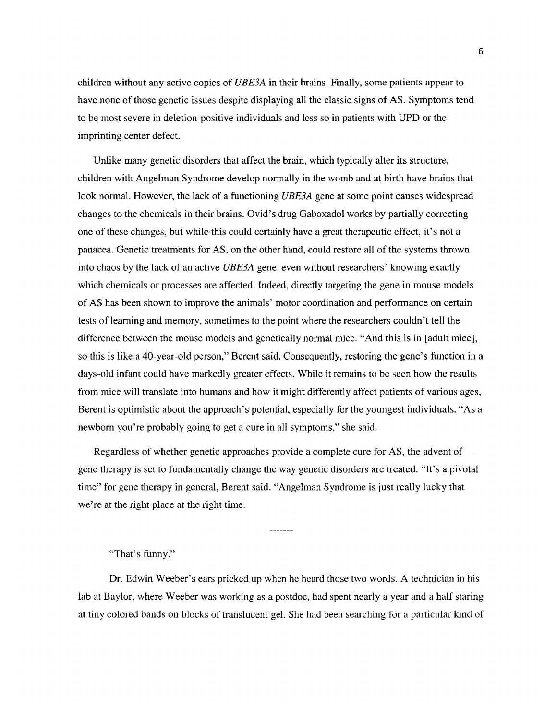children without any active copies of *UBE3A* in their brains. Finally, some patients appear to have none of those genetic issues despite displaying all the classic signs of **AS.** Symptoms tend to be most severe in deletion-positive individuals and less so in patients with **UPD** or the imprinting center defect.

Unlike many genetic disorders that affect the brain, which typically alter its structure, children with Angelman Syndrome develop normally in the womb and at birth have brains that look normal. However, the lack of a functioning *UBE3A* gene at some point causes widespread changes to the chemicals in their brains. Ovid's drug Gaboxadol works **by** partially correcting one of these changes, but while this could certainly have a great therapeutic effect, it's not a panacea. Genetic treatments for **AS,** on the other hand, could restore all of the systems thrown into chaos **by** the lack of an active *UBE3A* gene, even without researchers' knowing exactly which chemicals or processes are affected. Indeed, directly targeting the gene in mouse models of **AS** has been shown to improve the animals' motor coordination and performance on certain tests of learning and memory, sometimes to the point where the researchers couldn't tell the difference between the mouse models and genetically normal mice. "And this is in [adult mice], so this is like a 40-year-old person," Berent said. Consequently, restoring the gene's function in a days-old infant could have markedly greater effects. While it remains to be seen how the results from mice will translate into humans and how it might differently affect patients of various ages, Berent is optimistic about the approach's potential, especially for the youngest individuals. "As a newborn you're probably going to get a cure in all symptoms," she said.

Regardless of whether genetic approaches provide a complete cure for **AS,** the advent of gene therapy is set to fundamentally change the way genetic disorders are treated. "It's a pivotal time" for gene therapy in general, Berent said. "Angelman Syndrome is just really lucky that we're at the right place at the right time.

 $- - - - - - -$ 

"That's funny."

Dr. Edwin Weeber's ears pricked up when he heard those two words. **A** technician in his lab at Baylor, where Weeber was working as a postdoc, had spent nearly a year and a half staring at tiny colored bands on blocks of translucent gel. She had been searching for a particular kind of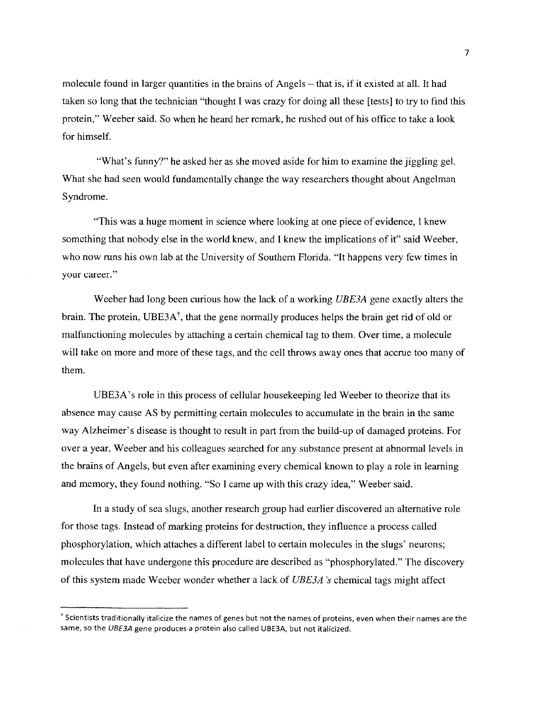molecule found in larger quantities in the brains of Angels **-** that is, if it existed at all. It had taken so long that the technician "thought **I** was crazy for doing all these [tests] to try to find this protein," Weeber said. So when he heard her remark, he rushed out of his office to take a look for himself.

"What's funny?" he asked her as she moved aside for him to examine the jiggling gel. What she had seen would fundamentally change the way researchers thought about Angelman Syndrome.

"This was a huge moment in science where looking at one piece of evidence, **I** knew something that nobody else in the world knew, and **I** knew the implications of it" said Weeber, who now runs his own lab at the University of Southern Florida. "It happens very few times in your career."

Weeber had long been curious how the lack of a working *UBE3A* gene exactly alters the brain. The protein, UBE3A<sup>†</sup>, that the gene normally produces helps the brain get rid of old or malfunctioning molecules **by** attaching a certain chemical tag to them. Over time, a molecule will take on more and more of these tags, and the cell throws away ones that accrue too many of them.

UBE3A's role in this process of cellular housekeeping led Weeber to theorize that its absence may cause **AS by** permitting certain molecules to accumulate in the brain in the same way Alzheimer's disease is thought to result in part from the build-up of damaged proteins. For over a year, Weeber and his colleagues searched for any substance present at abnormal levels in the brains of Angels, but even after examining every chemical known to play a role in learning and memory, they found nothing. "So **I** came up with this crazy idea," Weeber said.

In a study of sea slugs, another research group had earlier discovered an alternative role for those tags. Instead of marking proteins for destruction, they influence a process called phosphorylation, which attaches a different label to certain molecules in the slugs' neurons; molecules that have undergone this procedure are described as "phosphorylated." The discovery of this system made Weeber wonder whether a lack of *UBE3A* 's chemical tags might affect

<sup>&</sup>lt;sup>t</sup> Scientists traditionally italicize the names of genes but not the names of proteins, even when their names are the same, so the **UBE3A** gene produces a protein also called **UBE3A,** but not italicized.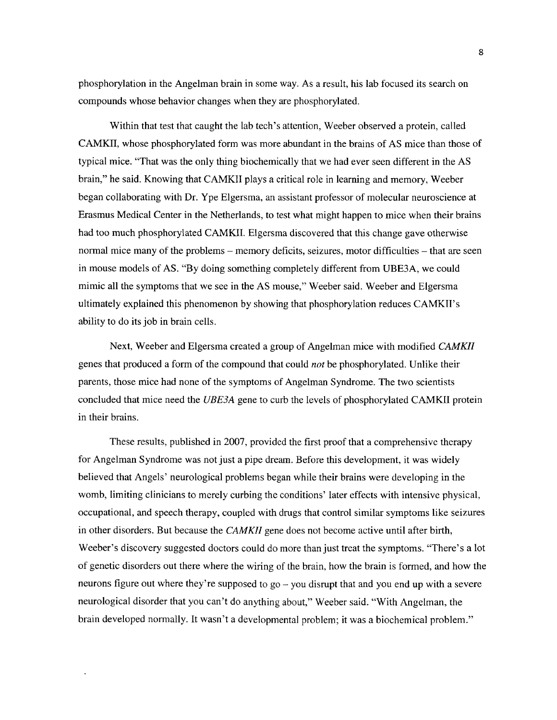phosphorylation in the Angelman brain in some way. As a result, his lab focused its search on compounds whose behavior changes when they are phosphorylated.

Within that test that caught the lab tech's attention, Weeber observed a protein, called CAMKII, whose phosphorylated form was more abundant in the brains of **AS** mice than those of typical mice. "That was the only thing biochemically that we had ever seen different in the **AS** brain," he said. Knowing that CAMKII plays a critical role in learning and memory, Weeber began collaborating with Dr. Ype Elgersma, an assistant professor of molecular neuroscience at Erasmus Medical Center in the Netherlands, to test what might happen to mice when their brains had too much phosphorylated CAMKII. Elgersma discovered that this change gave otherwise normal mice many of the problems **-** memory deficits, seizures, motor difficulties **-** that are seen in mouse models of **AS. "By** doing something completely different from **UBE3A,** we could mimic all the symptoms that we see in the **AS** mouse," Weeber said. Weeber and Elgersma ultimately explained this phenomenon **by** showing that phosphorylation reduces CAMKII's ability to do its **job** in brain cells.

Next, Weeber and Elgersma created a group of Angelman mice with modified *CAMKII* genes that produced a form of the compound that could *not* be phosphorylated. Unlike their parents, those mice had none of the symptoms of Angelman Syndrome. The two scientists concluded that mice need the *UBE3A* gene to curb the levels of phosphorylated CAMKII protein in their brains.

These results, published in **2007,** provided the first proof that a comprehensive therapy for Angelman Syndrome was not just a pipe dream. Before this development, it was widely believed that Angels' neurological problems began while their brains were developing in the womb, limiting clinicians to merely curbing the conditions' later effects with intensive physical, occupational, and speech therapy, coupled with drugs that control similar symptoms like seizures in other disorders. But because the *CAMKII* gene does not become active until after birth, Weeber's discovery suggested doctors could do more than just treat the symptoms. "There's a lot of genetic disorders out there where the wiring of the brain, how the brain is formed, and how the neurons figure out where they're supposed to go **-** you disrupt that and you end up with a severe neurological disorder that you can't do anything about," Weeber said. "With Angelman, the brain developed normally. It wasn't a developmental problem; it was a biochemical problem."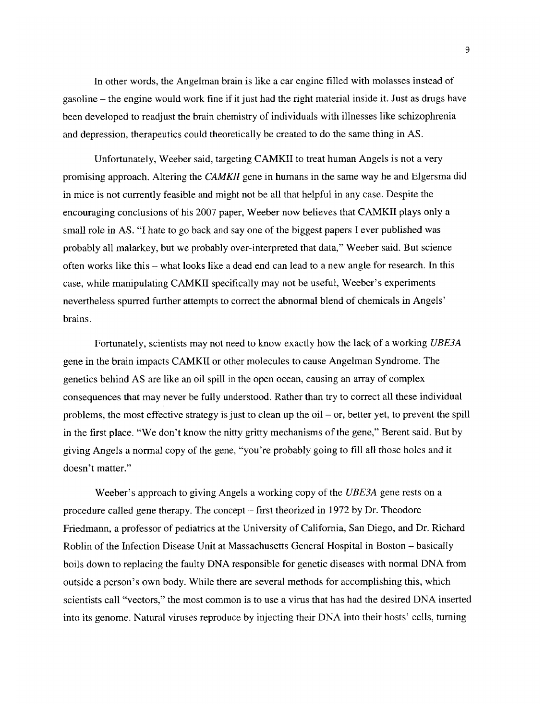In other words, the Angelman brain is like a car engine filled with molasses instead of gasoline **-** the engine would work fine if it just had the right material inside it. Just as drugs have been developed to readjust the brain chemistry of individuals with illnesses like schizophrenia and depression, therapeutics could theoretically be created to do the same thing in **AS.**

Unfortunately, Weeber said, targeting CAMKII to treat human Angels is not a very promising approach. Altering the *CAMKII* gene in humans in the same way he and Elgersma did in mice is not currently feasible and might not be all that helpful in any case. Despite the encouraging conclusions of his **2007** paper, Weeber now believes that CAMKII plays only a small role in **AS. "I** hate to go back and say one of the biggest papers **I** ever published was probably all malarkey, but we probably over-interpreted that data," Weeber said. But science often works like this **-** what looks like a dead end can lead to a new angle for research. In this case, while manipulating CAMKII specifically may not be useful, Weeber's experiments nevertheless spurred further attempts to correct the abnormal blend of chemicals in Angels' brains.

Fortunately, scientists may not need to know exactly how the lack of a working *UBE3A* gene in the brain impacts CAMKII or other molecules to cause Angelman Syndrome. The genetics behind **AS** are like an oil spill in the open ocean, causing an array of complex consequences that may never be fully understood. Rather than try to correct all these individual problems, the most effective strategy is just to clean up the oil **-** or, better yet, to prevent the spill in the first place. "We don't know the nitty gritty mechanisms of the gene," Berent said. But **by** giving Angels a normal copy of the gene, "you're probably going to **fill** all those holes and it doesn't matter."

Weeber's approach to giving Angels a working copy of the *UBE3A* gene rests on a procedure called gene therapy. The concept **-** first theorized in **1972 by** Dr. Theodore Friedmann, a professor of pediatrics at the University of California, San Diego, and Dr. Richard Roblin of the Infection Disease Unit at Massachusetts General Hospital in Boston **-** basically boils down to replacing the faulty **DNA** responsible for genetic diseases with normal **DNA** from outside a person's own body. While there are several methods for accomplishing this, which scientists call "vectors," the most common is to use a virus that has had the desired **DNA** inserted into its genome. Natural viruses reproduce **by** injecting their **DNA** into their hosts' cells, turning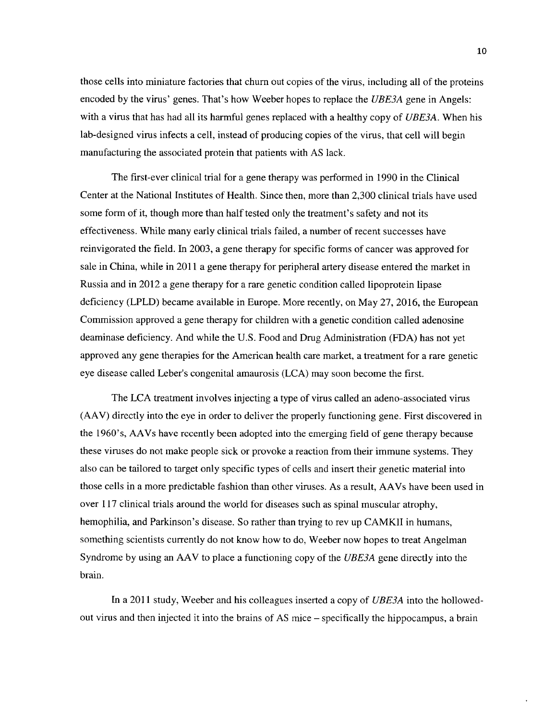those cells into miniature factories that churn out copies of the virus, including all of the proteins encoded **by** the virus' genes. That's how Weeber hopes to replace the *UBE3A* gene in Angels: with a virus that has had all its harmful genes replaced with a healthy copy of *UBE3A.* When his lab-designed virus infects a cell, instead of producing copies of the virus, that cell will begin manufacturing the associated protein that patients with **AS** lack.

The first-ever clinical trial for a gene therapy was performed in **1990** in the Clinical Center at the National Institutes of Health. Since then, more than **2,300** clinical trials have used some form of it, though more than half tested only the treatment's safety and not its effectiveness. While many early clinical trials failed, a number of recent successes have reinvigorated the field. In **2003,** a gene therapy for specific forms of cancer was approved for sale in China, while in 2011 a gene therapy for peripheral artery disease entered the market in Russia and in 2012 a gene therapy for a rare genetic condition called lipoprotein lipase deficiency (LPLD) became available in Europe. More recently, on May **27, 2016,** the European Commission approved a gene therapy for children with a genetic condition called adenosine deaminase deficiency. And while the **U.S.** Food and Drug Administration **(FDA)** has not yet approved any gene therapies for the American health care market, a treatment for a rare genetic eye disease called Leber's congenital amaurosis **(LCA)** may soon become the first.

The **LCA** treatment involves injecting a type of virus called an adeno-associated virus **(AAV)** directly into the eye in order to deliver the properly functioning gene. First discovered in the 1960's, AAVs have recently been adopted into the emerging field of gene therapy because these viruses do not make people sick or provoke a reaction from their immune systems. They also can be tailored to target only specific types of cells and insert their genetic material into those cells in a more predictable fashion than other viruses. As a result, AAVs have been used in over **117** clinical trials around the world for diseases such as spinal muscular atrophy, hemophilia, and Parkinson's disease. So rather than trying to rev up CAMKII in humans, something scientists currently do not know how to do, Weeber now hopes to treat Angelman Syndrome **by** using an **AAV** to place a functioning copy of the *UBE3A* gene directly into the brain.

In a 2011 study, Weeber and his colleagues inserted a copy of *UBE3A* into the hollowedout virus and then injected it into the brains of **AS** mice **-** specifically the hippocampus, a brain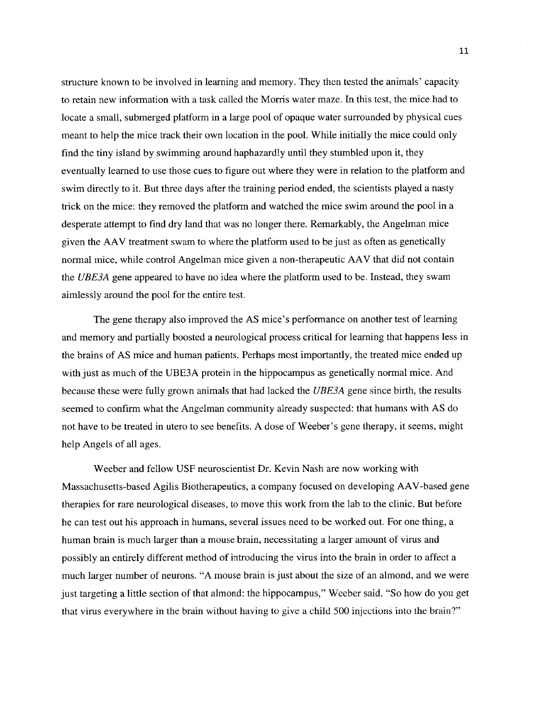structure known to be involved in learning and memory. They then tested the animals' capacity to retain new information with a task called the Morris water maze. In this test, the mice had to locate a small, submerged platform in a large pool of opaque water surrounded **by** physical cues meant to help the mice track their own location in the pool. While initially the mice could only find the tiny island **by** swimming around haphazardly until they stumbled upon it, they eventually learned to use those cues to figure out where they were in relation to the platform and swim directly to it. But three days after the training period ended, the scientists played a nasty trick on the mice: they removed the platform and watched the mice swim around the pool in a desperate attempt to find dry land that was no longer there. Remarkably, the Angelman mice given the **AAV** treatment swam to where the platform used to be just as often as genetically normal mice, while control Angelman mice given a non-therapeutic **AAV** that did not contain the *UBE3A* gene appeared to have no idea where the platform used to be. Instead, they swam aimlessly around the pool for the entire test.

The gene therapy also improved the **AS** mice's performance on another test of learning and memory and partially boosted a neurological process critical for learning that happens less in the brains of **AS** mice and human patients. Perhaps most importantly, the treated mice ended up with just as much of the **UBE3A** protein in the hippocampus as genetically normal mice. And because these were fully grown animals that had lacked the *UBE3A* gene since birth, the results seemed to confirm what the Angelman community already suspected: that humans with **AS** do not have to be treated in utero to see benefits. **A** dose of Weeber's gene therapy, it seems, might help Angels of all ages.

Weeber and fellow **USF** neuroscientist Dr. Kevin Nash are now working with Massachusetts-based Agilis Biotherapeutics, a company focused on developing AAV-based gene therapies for rare neurological diseases, to move this work from the lab to the clinic. But before he can test out his approach in humans, several issues need to be worked out. For one thing, a human brain is much larger than a mouse brain, necessitating a larger amount of virus and possibly an entirely different method of introducing the virus into the brain in order to affect a much larger number of neurons. **"A** mouse brain is just about the size of an almond, and we were just targeting a little section of that almond: the hippocampus," Weeber said. "So how do you get that virus everywhere in the brain without having to give a child **500** injections into the brain?"

**11**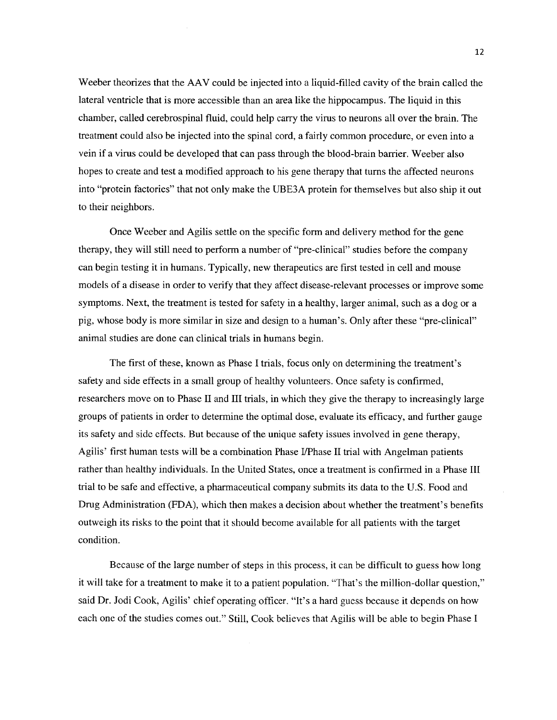Weeber theorizes that the **AAV** could be injected into a liquid-filled cavity of the brain called the lateral ventricle that is more accessible than an area like the hippocampus. The liquid in this chamber, called cerebrospinal fluid, could help carry the virus to neurons all over the brain. The treatment could also be injected into the spinal cord, a fairly common procedure, or even into a vein if a virus could be developed that can pass through the blood-brain barrier. Weeber also hopes to create and test a modified approach to his gene therapy that turns the affected neurons into "protein factories" that not only make the **UBE3A** protein for themselves but also ship it out to their neighbors.

Once Weeber and Agilis settle on the specific form and delivery method for the gene therapy, they will still need to perform a number of "pre-clinical" studies before the company can begin testing it in humans. Typically, new therapeutics are first tested in cell and mouse models of a disease in order to verify that they affect disease-relevant processes or improve some symptoms. Next, the treatment is tested for safety in a healthy, larger animal, such as a dog or a **pig,** whose body is more similar in size and design to a human's. Only after these "pre-clinical" animal studies are done can clinical trials in humans begin.

The first of these, known as Phase **I** trials, focus only on determining the treatment's safety and side effects in a small group of healthy volunteers. Once safety is confirmed, researchers move on to Phase II and **III** trials, in which they give the therapy to increasingly large groups of patients in order to determine the optimal dose, evaluate its efficacy, and further gauge its safety and side effects. But because of the unique safety issues involved in gene therapy, Agilis' first human tests will be a combination Phase I/Phase II trial with Angelman patients rather than healthy individuals. In the United States, once a treatment is confirmed in a Phase **III** trial to be safe and effective, a pharmaceutical company submits its data to the **U.S.** Food and Drug Administration **(FDA),** which then makes a decision about whether the treatment's benefits outweigh its risks to the point that it should become available for all patients with the target condition.

Because of the large number of steps in this process, it can be difficult to guess how long it will take for a treatment to make it to a patient population. "That's the million-dollar question," said Dr. Jodi Cook, Agilis' chief operating officer. "It's a hard guess because it depends on how each one of the studies comes out." Still, Cook believes that Agilis will be able to begin Phase **I**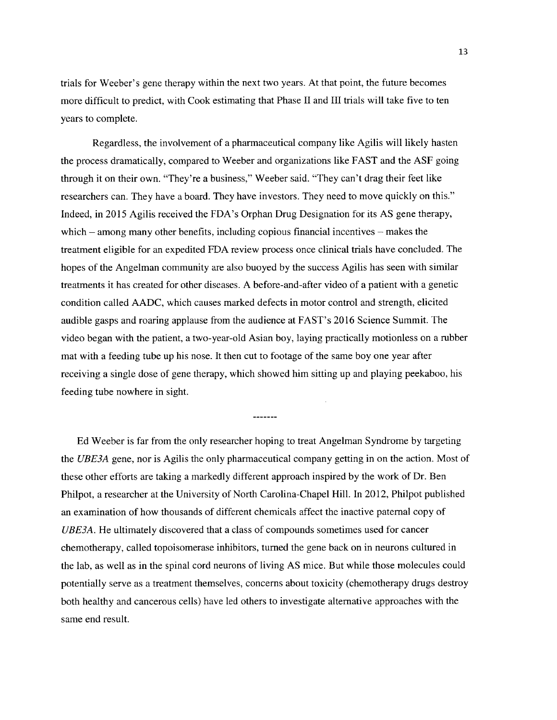trials for Weeber's gene therapy within the next two years. At that point, the future becomes more difficult to predict, with Cook estimating that Phase **I** and **III** trials will take five to ten years to complete.

Regardless, the involvement of a pharmaceutical company like Agilis will likely hasten the process dramatically, compared to Weeber and organizations like **FAST** and the **ASF** going through it on their own. "They're a business," Weeber said. "They can't drag their feet like researchers can. They have a board. They have investors. They need to move quickly on this." Indeed, in **2015** Agilis received the FDA's Orphan Drug Designation for its **AS** gene therapy, which **-** among many other benefits, including copious financial incentives **-** makes the treatment eligible for an expedited **FDA** review process once clinical trials have concluded. The hopes of the Angelman community are also buoyed **by** the success Agilis has seen with similar treatments it has created for other diseases. **A** before-and-after video of a patient with a genetic condition called **AADC,** which causes marked defects in motor control and strength, elicited audible gasps and roaring applause from the audience at FAST's **2016** Science Summit. The video began with the patient, a two-year-old Asian boy, laying practically motionless on a rubber mat with a feeding tube up his nose. It then cut to footage of the same boy one year after receiving a single dose of gene therapy, which showed him sitting up and playing peekaboo, his feeding tube nowhere in sight.

 $\frac{1}{2}$ 

**Ed** Weeber is far from the only researcher hoping to treat Angelman Syndrome **by** targeting *the UBE3A* gene, nor is Agilis the only pharmaceutical company getting in on the action. Most of these other efforts are taking a markedly different approach inspired **by** the work of Dr. Ben Philpot, a researcher at the University of North Carolina-Chapel Hill. In 2012, Philpot published an examination of how thousands of different chemicals affect the inactive paternal copy of *UBE3A.* He ultimately discovered that a class of compounds sometimes used for cancer chemotherapy, called topoisomerase inhibitors, turned the gene back on in neurons cultured in the lab, as well as in the spinal cord neurons of living **AS** mice. But while those molecules could potentially serve as a treatment themselves, concerns about toxicity (chemotherapy drugs destroy both healthy and cancerous cells) have led others to investigate alternative approaches with the same end result.

**13**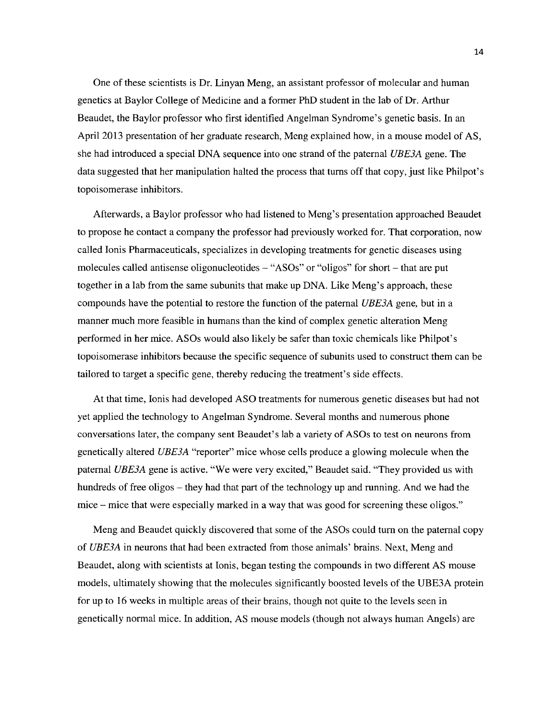One of these scientists is Dr. Linyan Meng, an assistant professor of molecular and human genetics at Baylor College of Medicine and a former PhD student in the lab of Dr. Arthur Beaudet, the Baylor professor who first identified Angelman Syndrome's genetic basis. In an April **2013** presentation of her graduate research, Meng explained how, in a mouse model of **AS,** she had introduced a special **DNA** sequence into one strand of the paternal *UBE3A* gene. The data suggested that her manipulation halted the process that turns off that copy, just like Philpot's topoisomerase inhibitors.

Afterwards, a Baylor professor who had listened to Meng's presentation approached Beaudet to propose he contact a company the professor had previously worked for. That corporation, now called Ionis Pharmaceuticals, specializes in developing treatments for genetic diseases using molecules called antisense oligonucleotides **-** "ASOs" or "oligos" for short **-** that are put together in a lab from the same subunits that make up **DNA.** Like Meng's approach, these compounds have the potential to restore the function of the paternal *UBE3A* gene, but in a manner much more feasible in humans than the kind of complex genetic alteration Meng performed in her mice. ASOs would also likely be safer than toxic chemicals like Philpot's topoisomerase inhibitors because the specific sequence of subunits used to construct them can be tailored to target a specific gene, thereby reducing the treatment's side effects.

At that time, Ionis had developed **ASO** treatments for numerous genetic diseases but had not yet applied the technology to Angelman Syndrome. Several months and numerous phone conversations later, the company sent Beaudet's lab a variety of ASOs to test on neurons from genetically altered *UBE3A* "reporter" mice whose cells produce a glowing molecule when the paternal *UBE3A* gene is active. "We were very excited," Beaudet said. "They provided us with hundreds of free oligos **-** they had that part of the technology up and running. And we had the mice **-** mice that were especially marked in a way that was good for screening these oligos."

Meng and Beaudet quickly discovered that some of the ASOs could turn on the paternal copy *of UBE3A* in neurons that had been extracted from those animals' brains. Next, Meng and Beaudet, along with scientists at Ionis, began testing the compounds in two different **AS** mouse models, ultimately showing that the molecules significantly boosted levels of the **UBE3A** protein for up to **16** weeks in multiple areas of their brains, though not quite to the levels seen in genetically normal mice. In addition, **AS** mouse models (though not always human Angels) are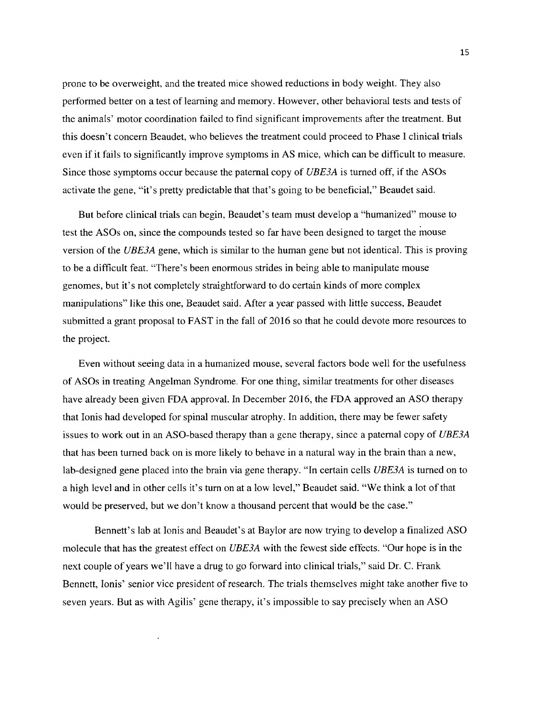prone to be overweight, and the treated mice showed reductions in body weight. They also performed better on a test of learning and memory. However, other behavioral tests and tests of the animals' motor coordination failed to find significant improvements after the treatment. But this doesn't concern Beaudet, who believes the treatment could proceed to Phase **I** clinical trials even if it fails to significantly improve symptoms in **AS** mice, which can be difficult to measure. Since those symptoms occur because the paternal copy of *UBE3A* is turned off, if the ASOs activate the gene, "it's pretty predictable that that's going to be beneficial," Beaudet said.

But before clinical trials can begin, Beaudet's team must develop a "humanized" mouse to test the ASOs on, since the compounds tested so far have been designed to target the mouse version of the *UBE3A* gene, which is similar to the human gene but not identical. This is proving to be a difficult feat. "There's been enormous strides in being able to manipulate mouse genomes, but it's not completely straightforward to do certain kinds of more complex manipulations" like this one, Beaudet said. After a year passed with little success, Beaudet submitted a grant proposal to **FAST** in the fall of **2016** so that he could devote more resources to the project.

Even without seeing data in a humanized mouse, several factors bode well for the usefulness of ASOs in treating Angelman Syndrome. For one thing, similar treatments for other diseases have already been given **FDA** approval. In December **2016,** the **FDA** approved an **ASO** therapy that Ionis had developed for spinal muscular atrophy. In addition, there may be fewer safety issues to work out in an ASO-based therapy than a gene therapy, since a paternal copy of *UBE3A* that has been turned back on is more likely to behave in a natural way in the brain than a new, lab-designed gene placed into the brain via gene therapy. "In certain cells *UBE3A* is turned on to a high level and in other cells it's turn on at a low level," Beaudet said. "We think a lot of that would be preserved, but we don't know a thousand percent that would be the case."

Bennett's lab at lonis and Beaudet's at Baylor are now trying to develop a finalized **ASO** molecule that has the greatest effect on *UBE3A* with the fewest side effects. "Our hope is in the next couple of years we'll have a drug to go forward into clinical trials," said Dr. **C.** Frank Bennett, Ionis' senior vice president of research. The trials themselves might take another five to seven years. But as with Agilis' gene therapy, it's impossible to say precisely when an **ASO**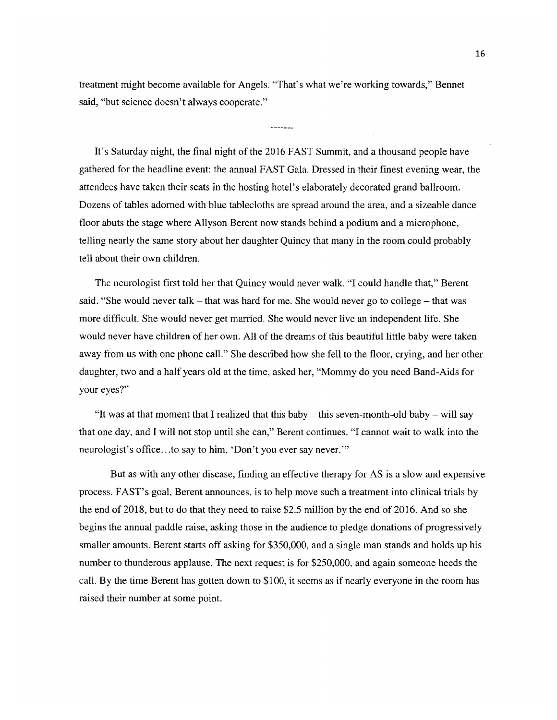treatment might become available for Angels. "That's what we're working towards," Bennet said, "but science doesn't always cooperate."

It's Saturday night, the final night of the **2016 FAST** Summit, and a thousand people have gathered for the headline event: the annual **FAST** Gala. Dressed in their finest evening wear, the attendees have taken their seats in the hosting hotel's elaborately decorated grand ballroom. Dozens of tables adorned with blue tablecloths are spread around the area, and a sizeable dance floor abuts the stage where Allyson Berent now stands behind a podium and a microphone, telling nearly the same story about her daughter Quincy that many in the room could probably tell about their own children.

The neurologist first told her that Quincy would never walk. **"I** could handle that," Berent said. "She would never talk **-** that was hard for me. She would never go to college **-** that was more difficult. She would never get married. She would never live an independent life. She would never have children of her own. **All** of the dreams of this beautiful little baby were taken away from us with one phone call." She described how she fell to the floor, crying, and her other daughter, two and a half years old at the time, asked her, "Mommy do you need Band-Aids for your eyes?"

"It was at that moment that I realized that this baby **-** this seven-month-old baby **-** will say that one day, and **I** will not stop until she can," Berent continues. **"I** cannot wait to walk into the neurologist's office.. .to say to him, 'Don't you ever say never.'

But as with any other disease, finding an effective therapy for **AS** is a slow and expensive process. FAST's goal, Berent announces, is to help move such a treatment into clinical trials **by** the end of **2018,** but to do that they need to raise *\$2.5* million **by** the end of **2016.** And so she begins the annual paddle raise, asking those in the audience to pledge donations of progressively smaller amounts. Berent starts off asking for *\$350,000,* and a single man stands and holds up his number to thunderous applause. The next request is for **\$250,000,** and again someone heeds the call. **By** the time Berent has gotten down to **\$100,** it seems as if nearly everyone in the room has raised their number at some point.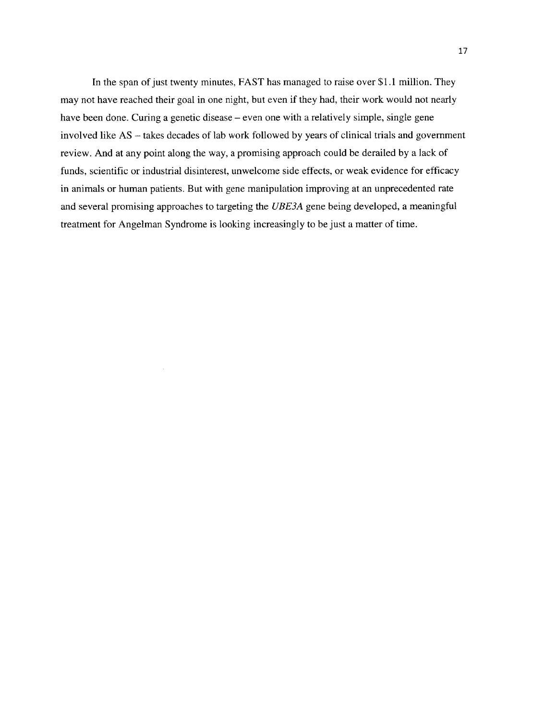In the span of just twenty minutes, **FAST** has managed to raise over **\$1.1** million. They may not have reached their goal in one night, but even if they had, their work would not nearly have been done. Curing a genetic disease – even one with a relatively simple, single gene involved like **AS -** takes decades of lab work followed **by** years of clinical trials and government review. And at any point along the way, a promising approach could be derailed **by** a lack of funds, scientific or industrial disinterest, unwelcome side effects, or weak evidence for efficacy in animals or human patients. But with gene manipulation improving at an unprecedented rate and several promising approaches to targeting the *UBE3A* gene being developed, a meaningful treatment for Angelman Syndrome is looking increasingly to be just a matter of time.

 $\bar{z}$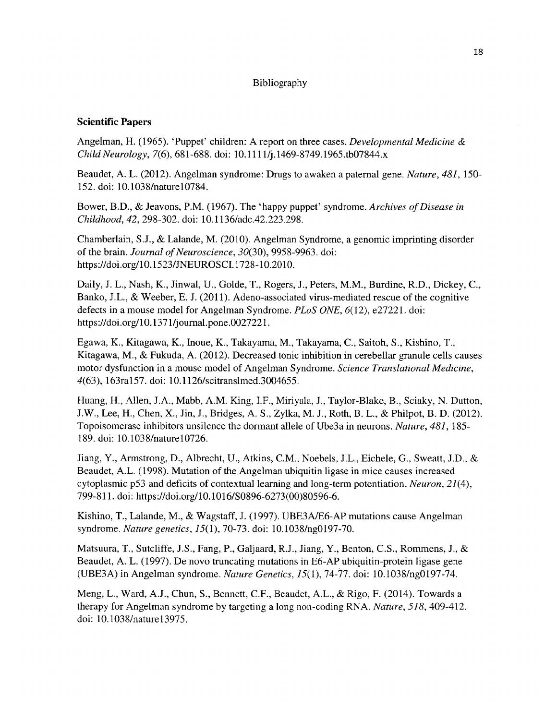### Bibliography

### **Scientific Papers**

**Angelman, H.** *(1965).* 'Puppet' children: **A** report on three cases. *Developmental Medicine Child Neurology,* **7(6), 681-688.** doi: **10.111** 1/j.1469-8749.1965.tb07844.x

Beaudet, **A.** L. *(2012).* Angelman syndrome: Drugs to awaken a paternal gene. *Nature, 481, 150-* **152.** doi: 10.1038/naturel0784.

Bower, B.D., **&** Jeavons, P.M. **(1967).** The 'happy puppet' syndrome. *Archives of Disease in* Childhood, 42, **298-302.** doi: **10.1** *136/adc.42.223.298.*

Chamberlain, **S.J., &** Lalande, M. (2010). Angelman Syndrome, a genomic imprinting disorder of the brain. *Journal of Neuroscience, 30(30), 9958-9963.* doi: https://doi.org/10.1523/JNEUROSCI. **1728-10.2010.**

Daily, **J.** L., Nash, K., Jinwal, **U.,** Golde, T., Rogers, **J.,** Peters, M.M., Burdine, R.D., Dickey, **C.,** Banko, **J.L., &** Weeber, **E. J. (2011).** Adeno-associated virus-mediated rescue of the cognitive defects in a mouse model for Angelman Syndrome. *PLoS ONE,* **6(12),** e27221. doi: https://doi.org/10. **137** 1/journal.pone.0027221.

Egawa, K., Kitagawa, K., Inoue, K., Takayama, M., Takayama, **C.,** Saitoh, **S.,** Kishino, T., Kitagawa, M., **&** Fukuda, **A.** (2012). Decreased tonic inhibition in cerebellar granule cells causes motor dysfunction in a mouse model of Angelman Syndrome. *Science Translational Medicine,* 4(63), 163ra157. doi: 10.1126/scitranslmed.3004655.

Huang, H., Allen, **J.A.,** Mabb, A.M. King, I.F., Miriyala, **J.,** Taylor-Blake, B., Sciaky, **N.** Dutton, **J.W.,** Lee, H., Chen, X., Jin, **J.,** Bridges, **A. S.,** Zylka, M. **J.,** Roth, B. L., **&** Philpot, B. **D.** (2012). Topoisomerase inhibitors unsilence the dormant allele of Ube3a in neurons. *Nature, 481, 185-* **189.** doi: 10.1038/naturel0726.

Jiang, Y., Armstrong, **D.,** Albrecht, **U.,** Atkins, **C.M.,** Noebels, **J.L.,** Eichele, **G.,** Sweatt, **J.D.,**  Beaudet, **A.L. (1998).** Mutation of the Angelman ubiquitin ligase in mice causes increased cytoplasmic **p53** and deficits of contextual learning and long-term potentiation. *Neuron, 21(4),* **799-811.** doi: https://doi.org/10.1016/SO896-6273(00)80596-6.

Kishino, **T.,** Lalande, M., **&** Wagstaff, **J. (1997). UBE3A/E6-AP** mutations cause Angelman syndrome. *Nature genetics, 15(1),* **70-73.** doi: 10.1038/ng0197-70.

Matsuura, T., Sutcliffe, **J.S.,** Fang, P., Galjaard, R.J., Jiang, Y., Benton, **C.S.,** Rommens, **J.,**  Beaudet, **A.** L. **(1997).** De novo truncating mutations in **E6-AP** ubiquitin-protein ligase gene **(UBE3A)** in Angelman syndrome. *Nature Genetics, 15(1),* **74-77.** doi: 10.1038/ng0197-74.

Meng, L., Ward, **A.J.,** Chun, **S.,** Bennett, **C.F.,** Beaudet, **A.L., &** Rigo, F. (2014). Towards a therapy for Angelman syndrome **by** targeting a long non-coding RNA. *Nature, 518,* 409-412. doi: 10.1038/naturel3975.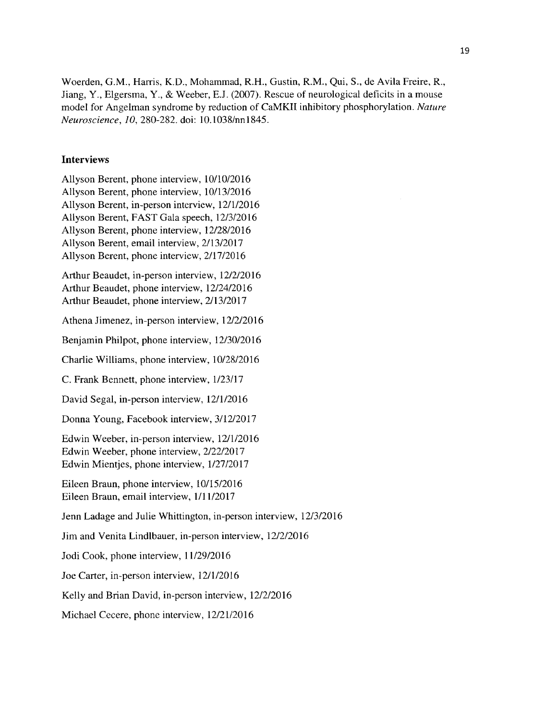Woerden, **G.M.,** Harris, K.D., Mohammad, R.H., Gustin, R.M., Qui, **S.,** de Avila Freire, R., Jiang, Y., Elgersma, Y., **&** Weeber, **E.J. (2007).** Rescue of neurological deficits in a mouse model for Angelman syndrome **by** reduction of CaMKII inhibitory phosphorylation. *Nature Neuroscience, 10,* **280-282.** doi: 10.1038/nn1845.

### **Interviews**

Allyson Berent, phone interview, **10/10/2016** Allyson Berent, phone interview, **10/13/2016** Allyson Berent, in-person interview, **12/1/2016** Allyson Berent, **FAST** Gala speech, **12/3/2016** Allyson Berent, phone interview, **12/28/2016** Allyson Berent, email interview, **2/13/2017** Allyson Berent, phone interview, **2/17/2016**

Arthur Beaudet, in-person interview, **12/2/2016** Arthur Beaudet, phone interview, 12/24/2016 Arthur Beaudet, phone interview, **2/13/2017**

Athena Jimenez, in-person interview, **12/2/2016**

Benjamin Philpot, phone interview, **12/30/2016**

Charlie Williams, phone interview, **10/28/2016**

**C.** Frank Bennett, phone interview, **1/23/17**

David Segal, in-person interview, **12/1/2016**

Donna Young, Facebook interview, **3/12/2017**

Edwin Weeber, in-person interview, **12/1/2016** Edwin Weeber, phone interview, **2/22/2017** Edwin Mientjes, phone interview, **1/27/2017**

Eileen Braun, phone interview, **10/15/2016** Eileen Braun, email interview, **1/11/2017**

Jenn Ladage and Julie Whittington, in-person interview, **12/3/2016**

Jim and Venita Lindlbauer, in-person interview, **12/2/2016**

Jodi Cook, phone interview, **11/29/2016**

Joe Carter, in-person interview, **12/1/2016**

Kelly and Brian David, in-person interview, **12/2/2016**

Michael Cecere, phone interview, **12/21/2016**